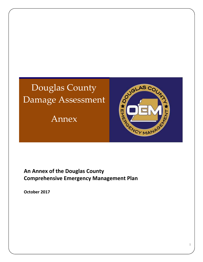# Douglas County Damage Assessment

Annex



**An Annex of the Douglas County Comprehensive Emergency Management Plan**

**October 2017**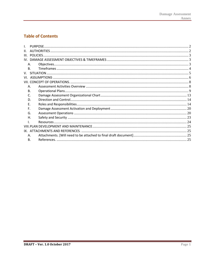# **Table of Contents**

| Ш.        |  |  |
|-----------|--|--|
|           |  |  |
|           |  |  |
| Α.        |  |  |
| <b>B.</b> |  |  |
| V.        |  |  |
|           |  |  |
|           |  |  |
| Α.        |  |  |
| В.        |  |  |
| C.        |  |  |
| D.        |  |  |
| E.        |  |  |
| F.        |  |  |
| G.        |  |  |
| Η.        |  |  |
|           |  |  |
|           |  |  |
|           |  |  |
| Α.        |  |  |
| <b>B.</b> |  |  |
|           |  |  |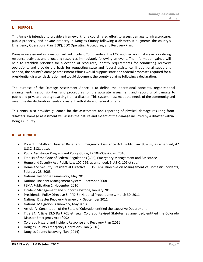# <span id="page-3-0"></span>**I. PURPOSE.**

This Annex is intended to provide a framework for a coordinated effort to assess damage to infrastructure, public property, and private property in Douglas County following a disaster. It augments the county's Emergency Operations Plan (EOP), EOC Operating Procedures, and Recovery Plan.

Damage assessment information will aid Incident Commanders, the EOC and decision makers in prioritizing response activities and allocating resources immediately following an event. The information gained will help to establish priorities for allocation of resources, identify requirements for conducting recovery operations, and provide the basis for requesting state and federal assistance. If additional support is needed, the county's damage assessment efforts would support state and federal processes required for a presidential disaster declaration and would document the county's claims following a declaration.

The purpose of the Damage Assessment Annex is to define the operational concepts, organizational arrangements, responsibilities, and procedures for the accurate assessment and reporting of damage to public and private property resulting from a disaster. This system must meet the needs of the community and meet disaster declaration needs consistent with state and federal criteria.

This annex also provides guidance for the assessment and reporting of physical damage resulting from disasters. Damage assessment will assess the nature and extent of the damage incurred by a disaster within Douglas County.

#### <span id="page-3-1"></span>**II. AUTHORITIES**

- Robert T. Stafford Disaster Relief and Emergency Assistance Act. Public Law 93-288, as amended, 42 U.S.C. 5121 et seq.
- Public Assistance Program and Policy Guide, FP 104-009-2 (Jan. 2016)
- Title 44 of the Code of Federal Regulations (CFR), Emergency Management and Assistance
- Homeland Security Act (Public Law 107-296, as amended, 6 U.S.C. 101 et seq.)
- Homeland Security Presidential Directive 5 (HSPD-5), Directive on Management of Domestic Incidents, February 28, 2003
- National Response Framework, May 2013
- National Incident Management System, December 2008
- FEMA Publication 1, November 2010
- Incident Management and Support Keystone, January 2011
- Presidential Policy Directive 8 (PPD-8), National Preparedness, march 30, 2011
- National Disaster Recovery Framework, September 2011
- National Mitigation Framework, May 2013
- Article IV, Constitution of the State of Colorado, entitled the executive Department
- Title 24, Article 33.5 Part 701 et. seq., Colorado Revised Statutes, as amended, entitled the Colorado Disaster Emergency Act of 992
- Colorado Hazard and Incident Response and Recovery Plan (2016)
- Douglas County Emergency Operations Plan (2016)
- Douglas County Recovery Plan (2014)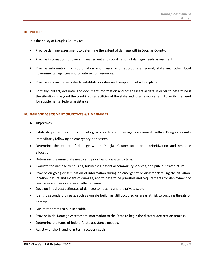#### <span id="page-4-0"></span>**III. POLICIES.**

It is the policy of Douglas County to:

- Provide damage assessment to determine the extent of damage within Douglas County.
- Provide information for overall management and coordination of damage needs assessment.
- Provide information for coordination and liaison with appropriate federal, state and other local governmental agencies and private sector resources.
- Provide information in order to establish priorities and completion of action plans.
- Formally, collect, evaluate, and document information and other essential data in order to determine if the situation is beyond the combined capabilities of the state and local resources and to verify the need for supplemental federal assistance.

#### <span id="page-4-1"></span>**IV. DAMAGE ASSESSMENT OBJECTIVES & TIMEFRAMES**

#### <span id="page-4-2"></span>**A. Objectives**

- Establish procedures for completing a coordinated damage assessment within Douglas County immediately following an emergency or disaster.
- Determine the extent of damage within Douglas County for proper prioritization and resource allocation.
- Determine the immediate needs and priorities of disaster victims.
- Evaluate the damage to housing, businesses, essential community services, and public infrastructure.
- Provide on-going dissemination of information during an emergency or disaster detailing the situation, location, nature and extent of damage, and to determine priorities and requirements for deployment of resources and personnel in an affected area.
- Develop initial cost estimates of damage to housing and the private sector.
- Identify secondary threats, such as unsafe buildings still occupied or areas at risk to ongoing threats or hazards.
- Minimize threats to public health.
- Provide Initial Damage Assessment information to the State to begin the disaster declaration process.
- Determine the types of federal/state assistance needed.
- Assist with short- and long-term recovery goals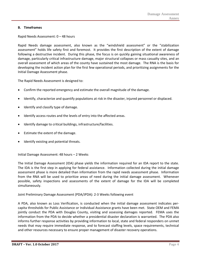# <span id="page-5-0"></span>**B. Timeframes**

Rapid Needs Assessment: 0 – 48 hours

Rapid Needs damage assessment, also known as the "windshield assessment" or the "stabilization assessment" holds life safety first and foremost. It provides the first description of the extent of damage following a destructive incident. During this phase, the focus is on quickly gaining situational awareness of damage, particularly critical infrastructure damage, major structural collapses or mass casualty sites, and an overall assessment of which areas of the county have sustained the most damage. The RNA is the basis for developing the incident action plan for the first few operational periods, and prioritizing assignments for the Initial Damage Assessment phase.

The Rapid Needs Assessment is designed to:

- Confirm the reported emergency and estimate the overall magnitude of the damage.
- Identify, characterize and quantify populations at risk in the disaster, injured personnel or displaced.
- Identify and classify type of damage.
- Identify access routes and the levels of entry into the affected areas.
- Identify damage to critical buildings, infrastructure/facilities.
- Estimate the extent of the damage.
- Identify existing and potential threats.

Initial Damage Assessment: 48 hours – 2 Weeks

The Initial Damage Assessment (IDA) phase yields the information required for an IDA report to the state. The IDA is the first step in applying for federal assistance. Information collected during the initial damage assessment phase is more detailed than information from the rapid needs assessment phase. Information from the RNA will be used to prioritize areas of need during the initial damage assessment. Whenever possible, safety inspections and assessments of the extent of damage for the IDA will be completed simultaneously.

Joint Preliminary Damage Assessment (PDA/JPDA): 2-3 Weeks following event

A PDA, also known as Loss Verification, is conducted when the initial damage assessment indicates percapita thresholds for Public Assistance or Individual Assistance grants have been met. State OEM and FEMA jointly conduct the PDA with Douglas County, visiting and assessing damages reported. FEMA uses the information from the PDA to decide whether a presidential disaster declaration is warranted. The PDA also informs further response activities by providing information to local, state and federal responders on unmet needs that may require immediate response, and to forecast staffing levels, space requirements, technical and other resources necessary to ensure proper management of disaster recovery operations.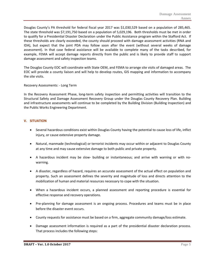Douglas County's PA threshold for federal fiscal year 2017 was \$1,030,529 based on a population of 285,465. The state threshold was \$7,191,750 based on a population of 5,029,196. Both thresholds must be met in order to qualify for a Presidential Disaster Declaration under the Public Assistance program within the Stafford Act. If these thresholds are clearly exceeded, the county should proceed with damage assessment activities (RNA and IDA), but expect that the joint PDA may follow soon after the event (without several weeks of damage assessment). In that case federal assistance will be available to complete many of the tasks described, for example, FEMA will accept damage reports directly from the public and is likely to provide staff to support damage assessment and safety inspection teams.

The Douglas County EOC will coordinate with State OEM, and FEMA to arrange site visits of damaged areas. The EOC will provide a county liaison and will help to develop routes, GIS mapping and information to accompany the site visits.

Recovery Assessments: - Long Term

In the Recovery Assessment Phase, long-term safety inspection and permitting activities will transition to the Structural Safety and Damage Assessment Recovery Group under the Douglas County Recovery Plan. Building and infrastructure assessments will continue to be completed by the Building Division (Building Inspection) and the Public Works Engineering Department.

#### <span id="page-6-0"></span>**V. SITUATION**

- Several hazardous conditions exist within Douglas County having the potential to cause loss of life, inflict injury, or cause extensive property damage.
- Natural, manmade (technological) or terrorist incidents may occur within or adjacent to Douglas County at any time and may cause extensive damage to both public and private property.
- A hazardous incident may be slow- building or instantaneous; and arrive with warning or with nowarning.
- A disaster, regardless of hazard, requires an accurate assessment of the actual effect on population and property. Such an assessment defines the severity and magnitude of loss and directs attention to the mobilization of human and material resources necessary to cope with the situation.
- When a hazardous incident occurs, a planned assessment and reporting procedure is essential for effective response and recovery operations.
- Pre-planning for damage assessment is an ongoing process. Procedures and teams must be in place before the disaster event occurs.
- County requests for assistance must be based on a firm, aggregate community damage/loss estimate.
- Damage assessment information is required as a part of the presidential disaster declaration process. That process includes the following steps: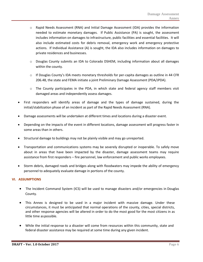- $\circ$  Rapid Needs Assessment (RNA) and Initial Damage Assessment (IDA) provides the information needed to estimate monetary damages. If Public Assistance (PA) is sought, the assessment includes information on damages to infrastructure, public facilities and essential facilities. It will also include estimated costs for debris removal, emergency work and emergency protective actions. If Individual Assistance (A) is sought, the IDA also includes information on damages to private residences and businesses.
- o Douglas County submits an IDA to Colorado DSHEM, including information about all damages within the county.
- $\circ$  If Douglas County's IDA meets monetary thresholds for per-capita damages as outline in 44 CFR 206.48, the state and FEMA initiate a joint Preliminary Damage Assessment (PDA/JPDA).
- o The County participates in the PDA, in which state and federal agency staff members visit damaged areas and independently assess damages.
- First responders will identify areas of damage and the types of damage sustained, during the initial/stabilization phase of an incident as part of the Rapid Needs Assessment (RNA).
- Damage assessments will be undertaken at different times and locations during a disaster event.
- Depending on the impacts of the event in different locations, damage assessment will progress faster in some areas than in others.
- Structural damage to buildings may not be plainly visible and may go unreported.
- Transportation and communications systems may be severely disrupted or inoperable. To safely move about in areas that have been impacted by the disaster, damage assessment teams may require assistance from first responders – fire personnel, law enforcement and public works employees.
- Storm debris, damaged roads and bridges along with floodwaters may impede the ability of emergency personnel to adequately evaluate damage in portions of the county.

#### <span id="page-7-0"></span>**VI. ASSUMPTIONS**

- The Incident Command System (ICS) will be used to manage disasters and/or emergencies in Douglas County.
- This Annex is designed to be used in a major incident with massive damage. Under these circumstances, it must be anticipated that normal operations of the county, cities, special districts, and other response agencies will be altered in order to do the most good for the most citizens in as little time aspossible.
- While the initial response to a disaster will come from resources within this community, state and federal disaster assistance may be required at some time during any given incident.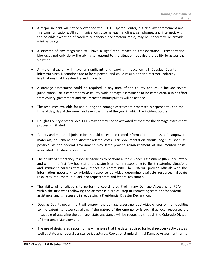- A major incident will not only overload the 9-1-1 Dispatch Center, but also law enforcement and fire communications. All communication systems (e.g., landlines, cell phones, and internet), with the possible exception of satellite telephones and amateur radio, may be inoperative or provide minimal usage.
- A disaster of any magnitude will have a significant impact on transportation. Transportation blockages not only delay the ability to respond to the situation, but also the ability to assess the situation.
- A major disaster will have a significant and varying impact on all Douglas County infrastructures. Disruptions are to be expected, and could result, either directlyor indirectly, in situations that threaten life and property.
- A damage assessment could be required in any area of the county and could include several jurisdictions. For a comprehensive county-wide damage assessment to be completed, a joint effort from county government and the impacted municipalities will be needed.
- The resources available for use during the damage assessment processes is dependent upon the time of day, day of the week, and even the time of the year in which the incident occurs.
- Douglas County or other local EOCs may or may not be activated at the time the damage assessment process is initiated.
- County and municipal jurisdictions should collect and record information on the use of manpower, materials, equipment and disaster-related costs. This documentation should begin as soon as possible, as the federal government may later provide reimbursement of documented costs associated with disasterresponse.
- The ability of emergency response agencies to perform a Rapid Needs Assessment (RNA) accurately and within the first few hours after a disaster is critical in responding to life- threatening situations and imminent hazards that may impact the community. The RNA will provide officials with the information necessary to prioritize response activities determine available resources, allocate resources, request mutual-aid, and request state and federal assistance.
- The ability of jurisdictions to perform a coordinated Preliminary Damage Assessment (PDA) within the first week following the disaster is a critical step in requesting state and/or federal assistance, and is necessary in requesting a Presidential Disaster Declaration.
- Douglas County government will support the damage assessment activities of county municipalities to the extent its resources allow. If the nature of the emergency is such that local resources are incapable of assessing the damage, state assistance will be requested through the Colorado Division of Emergency Management.
- The use of designated report forms will ensure that the data required for local recovery activities, as well as state and federal assistance is captured. Copies of standard Initial Damage Assessment forms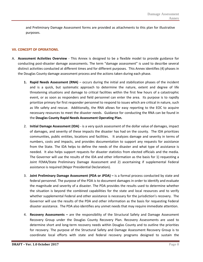and Preliminary Damage Assessment forms are provided as attachments to this plan for illustrative purposes.

# <span id="page-9-0"></span>**VII. CONCEPT OF OPERATIONS.**

- <span id="page-9-1"></span>A. **Assessment Activities Overview** - This Annex is designed to be a flexible model to provide guidance for conducting post-disaster damage assessments. The term "damage assessment" is used to describe several distinct activities conducted at different times and for different purposes. This Annex identifies (4) phases in the Douglas County damage assessment process and the actions taken during each phase.
	- **1. Rapid Needs Assessment (RNA)** occurs during the initial and stabilization phases of the incident and is a quick, but systematic approach to determine the nature, extent and degree of life threatening situations and damage to critical facilities within the first few hours of a catastrophic event, or as soon as responders and field personnel can enter the area. Its purpose is to rapidly prioritize primary for first responder personnel to respond to issues which are critical in nature, such as life safety and rescue. Additionally, the RNA allows for easy reporting to the EOC to acquire necessary resources to meet the disaster needs. Guidance for conducting the RNA can be found in the **Douglas County Rapid Needs Assessment Operating Plan.**
	- 2. **Initial Damage Assessment (IDA)** is a very quick assessment of the dollar value of damages, impact of damages, and severity of these impacts the disaster has had on the county. The IDA prioritizes communities, public entities, locations and facilities. It analyzes damage and severity in terms of numbers, costs and impacts, and provides documentation to support any requests for assistance from the State. The IDA helps to define the needs of the disaster and what type of assistance is needed. It also helps support requests for disaster statistics from elected officials and the media. The Governor will use the results of the IDA and other information as the basis for 1) requesting a Joint FEMA/State Preliminary Damage Assessment and 2) ascertaining if supplemental Federal assistance is required (Major Presidential Declaration).
	- 3. **Joint Preliminary Damage Assessment (PDA or JPDA) –** is a formal process conducted by state and federal personnel. The purpose of the PDA is to document damages in order to identify and evaluate the magnitude and severity of a disaster. The PDA provides the results used to determine whether the situation is beyond the combined capabilities for the state and local resources and to verify whether supplemental Federal and other assistance is necessary for the jurisdiction's recovery. The Governor will use the results of the PDA and other information as the basis for requesting Federal disaster assistance. The PDA also identifies any unmet needs that may require immediate attention.
	- 4. **Recovery Assessments –** are the responsibility of the Structural Safety and Damage Assessment Recovery Group under the Douglas County Recovery Plan. Recovery Assessments are used to determine short and long-term recovery needs within Douglas County and to outline the priorities for recovery. The purpose of the Structural Safety and Damage Assessment Recovery Group is to coordinate local efforts with state and federal recovery programs designed to sustain the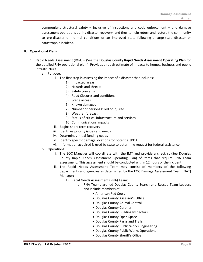community's structural safety – inclusive of inspections and code enforcement – and damage assessment operations during disaster recovery, and thus to help return and restore the community to pre-disaster or normal conditions or an improved state following a large-scale disaster or catastrophic incident.

#### <span id="page-10-0"></span>**B. Operational Plans**

- 1. Rapid Needs Assessment (RNA) (See the **Douglas County Rapid Needs Assessment Operating Plan** for the detailed RNA operational plan.) Provides a rough estimate of impacts to homes, business and public infrastructure.
	- a. Purpose:
		- i. The first step in assessing the impact of a disaster that includes:
			- 1) Impacted areas
			- 2) Hazards and threats
			- 3) Safety concerns
			- 4) Road Closures and conditions
			- 5) Scene access
			- 6) Known damages
			- 7) Number of persons killed or injured
			- 8) Weather forecast
			- 9) Status of critical infrastructure and services
			- 10) Communications impacts
		- ii. Begins short-term recovery
		- iii. Identifies priority issues and needs
		- iv. Determines initial funding needs
		- v. Identify specific damage locations for potential JPDA
		- vi. Information acquired is used by state to determine request for federal assistance
	- b. Operations:
		- i. The EOC Manager will coordinate with the IMT and provide a checklist (See Douglas County Rapid Needs Assessment Operating Plan) of items that require RNA Team assessment. This assessment should be conducted within 12 hours of the incident.
		- ii. The Rapid Needs Assessment Team may consist of members of the following departments and agencies as determined by the EOC Damage Assessment Team (DAT) Manager:
			- 1) Rapid Needs Assessment (RNA) Team:
				- a) RNA Teams are led Douglas County Search and Rescue Team Leaders and include members of:
					- American Red Cross
					- Douglas County Assessor's Office
					- Douglas County Animal Control
					- Douglas County Coroner
					- Douglas County Building Inspectors.
					- Douglas County Open Space
					- Douglas County Parks and Trails
					- Douglas County Public Works Engineering
					- Douglas County Public Works Operations
					- Douglas County Sheriff's Office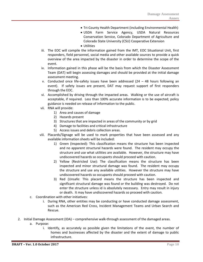- Tri-County Health Department (including Environmental Health)
- USDA Farm Service Agency, USDA Natural Resources Conservation Service, Colorado Department of Agriculture and Colorado State University (CSU) Cooperative Extension
- Utilities
- iii. The EOC will compile the information gained from the IMT, EOC Situational Unit, first responders, field personnel, social media and other available sources to provide a quick overview of the area impacted by the disaster in order to determine the scope of the event.
- iv. Information gained in this phase will be the basis from which the Disaster Assessment Team (DAT) will begin assessing damages and should be provided at the initial damage assessment meeting.
- v. Conducted once life-safety issues have been addressed  $(24 48$  hours following an event). If safety issues are present, DAT may request support of first responders through the EOC.
- vi. Accomplished by driving through the impacted areas. Walking or the use of aircraft is acceptable, if required. Less than 100% accurate information is to be expected; policy guidance is needed on release of information to the public.
- vii. RNA will provide:
	- 1) Area and causes of damage
	- 2) Hazards present
	- 3) Structures that are impacted in areas of the community or by grid
	- 4) Damage to facilities and critical infrastructure
	- 5) Access issues and debris collection areas.
- viii. Placards/Signage will be used to mark properties that have been assessed and any available information sheets will be included:
	- 1) Green (Inspected): This classification means the structure has been inspected and no apparent structural hazards were found. The resident may occupy the structure and use what utilities are available. However, the structure may have undiscovered hazards so occupants should proceed with caution.
	- 2) Yellow (Restricted Use): The classification means the structure has been inspected and minor structural damage was found. The resident may occupy the structure and use any available utilities. However the structure may have undiscovered hazards so occupants should proceed with caution.
	- 3) Red (Unsafe: This placard means the structure has been inspected and significant structural damage was found or the building was destroyed. Do not enter the structure unless id is absolutely necessary. Entry may result in injury or death. It may have undiscovered hazards so proceed with caution.
- c. Coordination with other initiatives:
	- i. During RNA, other entities may be conducting or have conducted damage assessment, such as the American Red Cross, Incident Management Teams and Urban Search and Rescue.
- 2. Initial Damage Assessment (IDA) comprehensive walk-through assessment of the damaged areas.
	- a. Purpose:
		- i. Identify, as accurately as possible given the limitations of the event, the number of homes and businesses affected by the disaster and the extent of damage to public infrastructure.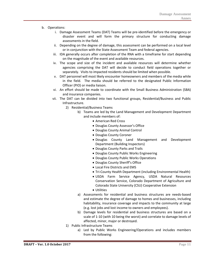- b. Operations:
	- i. Damage Assessment Teams (DAT) Teams will be pre-identified before the emergency or disaster event and will form the primary structure for conducting damage assessments in the field.
	- ii. Depending on the degree of damage, this assessment can be performed on a local level or in conjunction with the State Assessment Team and federal agencies.
	- iii. IDA generally occurs after completion of the RNA with a timeframe for start depending on the magnitude of the event and available resources.
	- iv. The scope and size of the incident and available resources will determine whether agencies comprising the DAT will decide to conduct field operations together or separately. Visits to impacted residents should be limited when possible.
	- v. DAT personnel will most likely encounter homeowners and members of the media while in the field. The media should be referred to the designated Public Information Officer (PIO) or media liaison.
	- vi. An effort should be made to coordinate with the Small Business Administration (SBA) and insurance companies.
	- vii. The DAT can be divided into two functional groups, Residential/Business and Public Infrastructure.
		- 2) Residential/Business Teams
			- b) Teams are led by the Land Management and Development Department and include members of:
				- American Red Cross
				- Douglas County Assessor's Office
				- Douglas County Animal Control
				- Douglas County Coroner
				- Douglas County Land Management and Development Department (Building Inspectors)
				- Douglas County Parks and Trails
				- Douglas County Public Works Engineering
				- Douglas County Public Works Operations
				- Douglas County Sheriff's Office
				- Local Fire Districts and EMS
				- Tri-County Health Department (including Environmental Health)
				- USDA Farm Service Agency, USDA Natural Resources Conservation Service, Colorado Department of Agriculture and Colorado State University (CSU) Cooperative Extension
				- Utilities
				- a) Assessments for residential and business structures are needs-based and estimate the degree of damage to homes and businesses, including habitability, insurance coverage and impacts to the community at large (e.g. lost jobs and lost income to owners and employees).
				- b) Damage levels for residential and business structures are based on a scale of 1-10 (with 10 being the worst) and correlate to damage levels of affected, minor, major or destroyed.
		- 1) Public Infrastructure Teams
			- a) Led by Public Works Engineering/Operations and includes members from the following: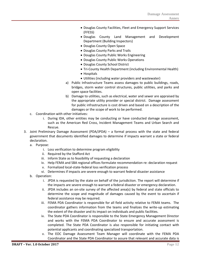- Douglas County Facilities, Fleet and Emergency Support Services (FFESS)
- Douglas County Land Management and Development Department (Building Inspectors)
- Douglas County Open Space
- Douglas County Parks and Trails
- Douglas County Public Works Engineering
- Douglas County Public Works Operations
- Douglas County School District
- Tri-County Health Department (including Environmental Health)
- Hospitals
- Utilities (including water providers and wastewater)
- a) Public Infrastructure Teams assess damages to public buildings, roads, bridges, storm water control structures, public utilities, and parks and open space facilities.
- b) Damage to utilities, such as electrical, water and sewer are appraised by the appropriate utility provider or special district. Damage assessment for public infrastructure is cost driven and based on a description of the damages or the scope of work to be performed.
- c. Coordination with other initiatives:
	- i. During IDA, other entities may be conducting or have conducted damage assessment, such as the American Red Cross, Incident Management Teams and Urban Search and Rescue.
- 3. Joint Preliminary Damage Assessment (PDA/JPDA) a formal process with the state and federal government that documents identified damages to determine if impacts warrant a state or federal declaration.
	- a. Purpose:
		- i. Loss verification to determine program eligibility
		- ii. Required by the Stafford Act
		- iii. Inform State as to feasibility of requesting a declaration
		- iv. Help FEMA and SBA regional offices formulate recommendation re: declaration request
		- v. Formalized local-state-federal loss verification process
		- vi. Determines if impacts are severe enough to warrant federal disaster assistance
	- b. Operation:
		- i. JPDA is requested by the state on behalf of the jurisdiction. The report will determine if the impacts are severe enough to warrant a federal disaster or emergency declaration.
		- ii. JPDA includes an on-site survey of the affected area(s) by federal and state officials to determine the scope and magnitude of damages caused by the event to ascertain if federal assistance may be required.
		- iii. FEMA PDA Coordinator is responsible for all field activity relative to FEMA teams. The coordinator gathers information from the teams and finalizes the write-up estimating the extent of the disaster and its impact on individuals and public facilities.
		- iv. The State PDA Coordinator is responsible to the State Emergency Management Director and works with the FEMA PDA Coordinator to ensure and accurate assessment is completed. The State PDA Coordinator is also responsible for initiating contact with potential applicants and coordinating specialized transportation.
		- v. The EOC Damage Assessment Team Manager will coordinate with the FEMA PDA Coordinator and the State PDA Coordinator to assure that relevant and accurate data is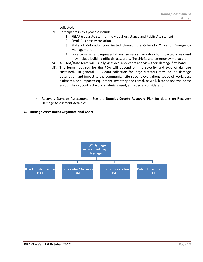collected.

- vi. Participants in this process include:
	- 1) FEMA (separate staff for Individual Assistance and Public Assistance)
	- 2) Small Business Association
	- 3) State of Colorado (coordinated through the Colorado Office of Emergency Management)
	- 4) Local government representatives (serve as navigators to impacted areas and may include building officials, assessors, fire chiefs, and emergency managers).
- vii. A FEMA/state team will usually visit local applicants and view their damage first hand.
- viii. The forms required for the PDA will depend on the severity and type of damage sustained. In general, PDA data collection for large disasters may include damage description and impact to the community; site-specific evaluations-scope of work, cost estimates, and impacts; equipment inventory and rental, payroll, historic reviews, force account labor; contract work; materials used; and special considerations.
- 4. Recovery Damage Assessment See the **Douglas County Recovery Plan** for details on Recovery Damage Assessment Activities.

#### <span id="page-14-0"></span>**C. Damage Assessment Organizational Chart**

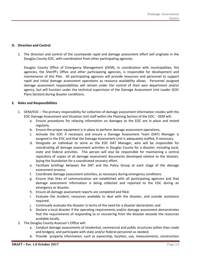# <span id="page-15-0"></span>**D. Direction and Control**

1. The direction and control of the countywide rapid and damage assessment effort will originate in the Douglas County EOC, with coordination from other participating agencies.

Douglas County Office of Emergency Management (OEM), in coordination with municipalities, fire agencies, the Sheriff's Office and other participating agencies, is responsible for development and maintenance of this Plan. All participating agencies will provide resources and personnel to support rapid and initial damage assessment operations as resource availability allows. Personnel assigned damage assessment responsibilities will remain under the control of their won department and/or agency, but will function under the technical supervision of the Damage Assessment Unit Leader (EOC Plans Section) during disaster conditions.

#### <span id="page-15-1"></span>**E. Roles and Responsibilities**

- 1. OEM/EOC The primary responsibility for collection of damage assessment information resides with the EOC Damage Assessment and Situation Unit staff within the Planning Section of the EOC. OEM will:
	- a. Ensure procedures for relaying information on damages to the EOC are in place and tested regularly.
	- b. Ensure the proper equipment is in place to perform damage assessment operations.
	- c. Activate the EOC if necessary and ensure a Damage Assessment Team (DAT) Manager is assigned in the EOC and that the Damage Assessment Unit is adequately staffed, if necessary.
	- d. Designate an individual to serve as the EOC DAT Manager, who will be responsible for coordinating all damage assessment activities in Douglas County for a disaster, including local, state and federal activities. This person will also be responsible for maintaining a central repository of copies of all damage assessment documents developed relative to the disaster, laying the foundation for a coordinated recovery effort.
	- e. Facilitate briefings between the DAT and the Policy Group at each stage of the damage assessment process.
	- f. Coordinate damage assessment activities, as necessary during emergency conditions.
	- g. Ensure that lines of communication are established with all participating agencies and that damage assessment information is being collected and reported to the EOC during an emergency or disaster.
	- h. Ensure all damage assessment reports are completed and filed.
	- i. Evaluate the incident, resources available to deal with the disaster, and outside assistance required.
	- j. Continually evaluate the disaster in terms of the need for a disaster declaration; and
	- k. Declare a local disaster if the operating requirements and/or damage assessment demonstrates that the requirements of responding to or recovering from the disaster exceeds the resources available locally.
- 2. The Douglas County Assessor's Office will:
	- a. Conduct damage assessments of residential, commercial and public structures (other than roads and bridges), and participate with state and/or federal personnel as needed;
	- b. Provide property information, such as ownership, location, use, measurements, construction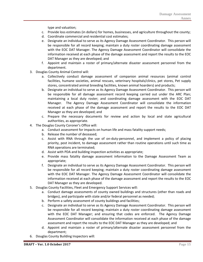type and valuation;

- c. Provide loss estimates (in dollars) for homes, businesses, and agriculture throughout the county;
- d. Coordinate commercial and residential cost estimates;
- e. Designate an individual to serve as its Agency Damage Assessment Coordinator. This person will be responsible for all record keeping; maintain a duty roster coordinating damage assessment with the EOC DAT Manager. The Agency Damage Assessment Coordinator will consolidate the information received at each phase of the damage assessment and report the results to the EOC DAT Manager as they are developed; and
- f. Appoint and maintain a roster of primary/alternate disaster assessment personnel from the department.
- 3. Douglas County Animal Control will:
	- a. Collectively conduct damage assessment of companion animal resources (animal control facilities, humane societies, animal rescues, veterinary hospitals/clinics, pet stores, Pet supply stores, concentrated animal breeding facilities, known animal hoarders) and products;
	- b. Designate an individual to serve as its Agency Damage Assessment Coordinator. This person will be responsible for all damage assessment record keeping carried out under the ARC Plan; maintaining a local duty roster; and coordinating damage assessment with the EOC DAT Manager. The Agency Damage Assessment Coordinator will consolidate the information received at each phase of the damage assessment and report the results to the EOC DAT Manager as they are developed; and
	- c. Prepare the necessary documents for review and action by local and state agricultural authorities, as appropriate.
- 4. The Douglas County Coroner's Office will:
	- a. Conduct assessment for impacts on human life and mass fatality support needs;
	- b. Release the number of deceased;
	- c. Assist with RNA through the use of on-duty-personnel, and implement a policy of placing priority, post incident, to damage assessment rather than routine operations until such time as RNA operations are terminated;
	- d. Assist with PDA and building inspection activities as appropriate;
	- e. Provide mass fatality damage assessment information to the Damage Assessment Team as appropriate;
	- f. Designate an individual to serve as its Agency Damage Assessment Coordinator. This person will be responsible for all record keeping; maintain a duty roster coordinating damage assessment with the EOC DAT Manager. The Agency Damage Assessment Coordinator will consolidate the information received at each phase of the damage assessment and report the results to the EOC DAT Manager as they are developed.
- 5. Douglas County Facilities, Fleet and Emergency Support Services will:
	- a. Conduct damage assessments of county owned buildings and structures (other than roads and bridges), and participate with state and/or federal personnel as needed;
	- b. Perform a safety assessment of county buildings and facilities;
	- c. Designate an individual to serve as its Agency Damage Assessment Coordinator. This person will be responsible for all record keeping; maintain a duty roster coordinating damage assessment with the EOC DAT Manager; and ensuring that codes are enforced. The Agency Damage Assessment Coordinator will consolidate the information received at each phase of the damage assessment and report the results to the EOC DAT Manager as they are developed; and
	- d. Appoint and maintain a roster of primary/alternate disaster assessment personnel from the department;
- 6. Douglas County Building Inspectors will: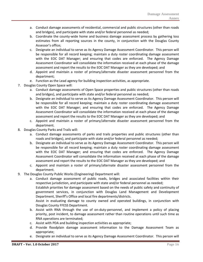- a. Conduct damage assessments of residential, commercial and public structures (other than roads and bridges), and participate with state and/or federal personnel as needed;
- b. Coordinate the county-wide home and business damage assessment process by gathering loss estimates from all reporting sources in the county, in conjunction with the Douglas County Assessor's office;
- c. Designate an individual to serve as its Agency Damage Assessment Coordinator. This person will be responsible for all record keeping; maintain a duty roster coordinating damage assessment with the EOC DAT Manager; and ensuring that codes are enforced. The Agency Damage Assessment Coordinator will consolidate the information received at each phase of the damage assessment and report the results to the EOC DAT Manager as they are developed; and
- d. Appoint and maintain a roster of primary/alternate disaster assessment personnel from the department;
- e. Function as the Lead agency for building inspection activities, as appropriate.
- 7. Douglas County Open Space will:
	- a. Conduct damage assessments of Open Space properties and public structures (other than roads and bridges), and participate with state and/or federal personnel as needed;
	- b. Designate an individual to serve as its Agency Damage Assessment Coordinator. This person will be responsible for all record keeping; maintain a duty roster coordinating damage assessment with the EOC DAT Manager; and ensuring that codes are enforced. The Agency Damage Assessment Coordinator will consolidate the information received at each phase of the damage assessment and report the results to the EOC DAT Manager as they are developed; and
	- c. Appoint and maintain a roster of primary/alternate disaster assessment personnel from the department.
- 8. Douglas County Parks and Trails will:
	- a. Conduct damage assessments of parks and trails properties and public structures (other than roads and bridges), and participate with state and/or federal personnel as needed;
	- b. Designate an individual to serve as its Agency Damage Assessment Coordinator. This person will be responsible for all record keeping; maintain a duty roster coordinating damage assessment with the EOC DAT Manager; and ensuring that codes are enforced. The Agency Damage Assessment Coordinator will consolidate the information received at each phase of the damage assessment and report the results to the EOC DAT Manager as they are developed; and
	- c. Appoint and maintain a roster of primary/alternate disaster assessment personnel from the department.
- 9. The Douglas County Public Works (Engineering) Department will:
	- a. Conduct damage assessment of public roads, bridges and associated facilities within their respective jurisdiction, and participate with state and/or federal personnel as needed;

Establish priorities for damage assessment based on the needs of public safety and continuity of government services, in conjunction with Douglas Land Management and Development Department, Sheriff's Office and local fire departments/districts.

Assist in evaluating damage to county owned and operated buildings, in conjunction with Douglas County FFESS Department.

- b. Assist with RNA through the use of on-duty-personnel, and implement a policy of placing priority, post incident, to damage assessment rather than routine operations until such time as RNA operations are terminated;
- c. Assist with PDA and building inspection activities as appropriate;
- d. Provide floodplain damage assessment information to the Damage Assessment Team as appropriate;
- e. Designate an individual to serve as its Agency Damage Assessment Coordinator. This person will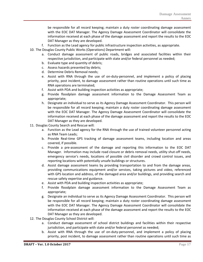be responsible for all record keeping; maintain a duty roster coordinating damage assessment with the EOC DAT Manager. The Agency Damage Assessment Coordinator will consolidate the information received at each phase of the damage assessment and report the results to the EOC DAT Manager as they are developed.

- f. Function as the Lead agency for public infrastructure inspection activities, as appropriate.
- 10. The Douglas County Public Works (Operations) Department will:
	- a. Conduct damage assessment of public roads, bridges and associated facilities within their respective jurisdiction, and participate with state and/or federal personnel as needed;
	- b. Evaluate type and quantity of debris;
	- c. Assess hazards presented by debris;
	- d. Determine Debris Removal needs;
	- e. Assist with RNA through the use of on-duty-personnel, and implement a policy of placing priority, post incident, to damage assessment rather than routine operations until such time as RNA operations are terminated;
	- f. Assist with PDA and building inspection activities as appropriate;
	- g. Provide floodplain damage assessment information to the Damage Assessment Team as appropriate;
	- h. Designate an individual to serve as its Agency Damage Assessment Coordinator. This person will be responsible for all record keeping; maintain a duty roster coordinating damage assessment with the EOC DAT Manager. The Agency Damage Assessment Coordinator will consolidate the information received at each phase of the damage assessment and report the results to the EOC DAT Manager as they are developed.
- 11. Douglas County Search and Rescue will:
	- a. Function as the Lead agency for the RNA through the use of trained volunteer personnel acting as RNA Team Leads;
	- b. Provide Real-time GPS tracking of damage assessment teams, including location and areas covered, if possible.
	- c. Provide a pre-assessment of the damage and reporting this information to the EOC DAT Manager. Information may include road closure or debris removal needs, utility shut-off needs, emergency service's needs, locations of possible civil disorder and crowd control issues, and reporting locations with potentially unsafe buildings or structures.
	- d. Assist damage assessment teams by providing transportation to and from the damage areas, providing communications equipment and/or services, taking pictures and video, referenced with GPS location and address, of the damaged area and/or buildings, and providing search and rescue safety expertise and guidance.
	- e. Assist with PDA and building inspection activities as appropriate;
	- f. Provide floodplain damage assessment information to the Damage Assessment Team as appropriate;
	- g. Designate an individual to serve as its Agency Damage Assessment Coordinator. This person will be responsible for all record keeping; maintain a duty roster coordinating damage assessment with the EOC DAT Manager. The Agency Damage Assessment Coordinator will consolidate the information received at each phase of the damage assessment and report the results to the EOC DAT Manager as they are developed.
- 12. The Douglas County School District will:
	- a. Conduct damage assessment of school district buildings and facilities within their respective jurisdiction, and participate with state and/or federal personnel as needed;
	- b. Assist with RNA through the use of on-duty-personnel, and implement a policy of placing priority, post incident, to damage assessment rather than routine operations until such time as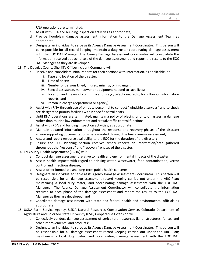RNA operations are terminated;

- c. Assist with PDA and building inspection activities as appropriate;
- d. Provide floodplain damage assessment information to the Damage Assessment Team as appropriate;
- e. Designate an individual to serve as its Agency Damage Assessment Coordinator. This person will be responsible for all record keeping; maintain a duty roster coordinating damage assessment with the EOC DAT Manager. The Agency Damage Assessment Coordinator will consolidate the information received at each phase of the damage assessment and report the results to the EOC DAT Manager as they are developed.
- 13. The Douglas County Sheriff's Office/Incident Command will:
	- a. Receive and consolidate initial reports for their sections with information, as applicable, on:
		- i. Type and location of the disaster;
		- ii. Time of onset;
		- iii. Number of persons killed, injured, missing, or in danger;
		- iv. Special assistance, manpower or equipment needed to save lives;
		- v. Location and means of communications e.g., telephone, radio, for follow-on information reports; and
		- vi. Person in charge (department or agency).
	- b. Assist with RNA through use of on-duty personnel to conduct "windshield surveys" and to check pre-designated priority facilities within specific patrol beats.
	- c. Until RNA operations are terminated, maintain a policy of placing priority on assessing damage rather than routine law enforcement and crowd/traffic control functions.
	- d. Assist with PDA and building inspection activities, as appropriate.
	- e. Maintain updated information throughout the response and recovery phases of the disaster; ensure supporting documentation is safeguarded through the final damage assessment;
	- f. Assess and report resource availability to the EOC for the duration of the disaster;
	- g. Ensure the EOC Planning Section receives timely reports on information/data gathered throughout the "response" and "recovery" phases of the disaster.
- 14. Tri-County Health Department (TCHD) will:
	- a. Conduct damage assessment relative to health and environmental impacts of the disaster;
	- b. Assess health impacts with regard to drinking water, wastewater, food contamination, vector control and infectious disease;
	- c. Assess other immediate and long-term public health concerns;
	- d. Designate an individual to serve as its Agency Damage Assessment Coordinator. This person will be responsible for all damage assessment record keeping carried out under the ARC Plan; maintaining a local duty roster; and coordinating damage assessment with the EOC DAT Manager. The Agency Damage Assessment Coordinator will consolidate the information received at each phase of the damage assessment and report the results to the EOC DAT Manager as they are developed; and
	- e. Coordinate damage assessment with state and federal health and environmental officials as appropriate.
- 15. USDA Farm Service Agency, USDA Natural Resources Conservation Service, Colorado Department of Agriculture and Colorado State University (CSU) Cooperative Extension will:
	- a. Collectively conduct damage assessment of agricultural resources (land, structures, fences and other improvements) and products;
	- b. Designate an individual to serve as its Agency Damage Assessment Coordinator. This person will be responsible for all damage assessment record keeping carried out under the ARC Plan; maintaining a local duty roster; and coordinating damage assessment with the EOC DAT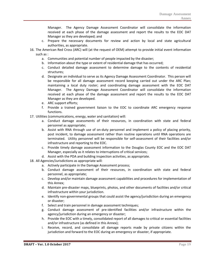Manager. The Agency Damage Assessment Coordinator will consolidate the information received at each phase of the damage assessment and report the results to the EOC DAT Manager as they are developed; and

- c. Prepare the necessary documents for review and action by local and state agricultural authorities, as appropriate.
- 16. The American Red Cross (ARC) will (at the request of OEM) attempt to provide initial event information such as :
	- a. Communities and potential number of people impacted by the disaster;
	- b. Information about the type or extent of residential damage that has occurred;
	- c. Conduct detailed damage assessment to determine damage to the contents of residential structures;
	- d. Designate an individual to serve as its Agency Damage Assessment Coordinator. This person will be responsible for all damage assessment record keeping carried out under the ARC Plan; maintaining a local duty roster; and coordinating damage assessment with the EOC DAT Manager. The Agency Damage Assessment Coordinator will consolidate the information received at each phase of the damage assessment and report the results to the EOC DAT Manager as they are developed.
	- e. ARC support efforts;
	- f. Provide a trained government liaison to the EOC to coordinate ARC emergency response functions.
- 17. Utilities (communications, energy, water and sanitation) will:
	- a. Conduct damage assessments of their resources, in coordination with state and federal personnel as appropriate;
	- b. Assist with RNA through use of on-duty personnel and implement a policy of placing priority, post incident, to damage assessment rather than routine operations until RNA operations are terminated. Utility personnel will be responsible for self-assessment of their facilities and/or infrastructure and reporting to the EOC.
	- c. Provide timely damage assessment information to the Douglas County EOC and the EOC DAT Manager, especially as it relates to interruptions of critical services;
	- d. Assist with the PDA and building inspection activities, as appropriate.
- 18. All Agencies/Jurisdictions as appropriate will:
	- a. Actively participate in the Damage Assessment process;
	- b. Conduct damage assessment of their resources, in coordination with state and federal personnel, as appropriate;
	- c. Develop and/or maintain damage assessment capabilities and procedures for implementation of this Annex;
	- d. Maintain pre-disaster maps, blueprints, photos, and other documents of facilities and/or critical infrastructure within your jurisdiction.
	- e. Identify non-governmental groups that could assist the agency/jurisdiction during an emergency or disaster;
	- f. Select and train personnel in damage assessment techniques;
	- g. Conduct damage assessment of pre-identified facilities and/or infrastructure within the agency/jurisdiction during an emergency or disaster;
	- h. Provide the EOC with a timely, consolidated report of all damages to critical or essential facilities and/or infrastructure (as defined in this Annex);
	- i. Receive, record, and consolidate all damage reports made by private citizens within the jurisdiction and forward to the EOC during an emergency or disaster, if appropriate.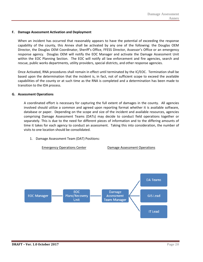#### <span id="page-21-0"></span>**F. Damage Assessment Activation and Deployment**

When an incident has occurred that reasonably appears to have the potential of exceeding the response capability of the county, this Annex shall be activated by any one of the following: the Douglas OEM Director, the Douglas OEM Coordinator, Sheriff's Office, FFESS Director, Assessor's Office or an emergency response agency. Douglas OEM will notify the EOC Manager and activate the Damage Assessment Unit within the EOC Planning Section. The EOC will notify all law enforcement and fire agencies, search and rescue, public works departments, utility providers, special districts, and other response agencies.

Once Activated, RNA procedures shall remain in effect until terminated by the IC/EOC. Termination shall be based upon the determination that the incident is, in fact, not of sufficient scope to exceed the available capabilities of the county or at such time as the RNA is completed and a determination has been made to transition to the IDA process.

#### <span id="page-21-1"></span>**G. Assessment Operations**

A coordinated effort is necessary for capturing the full extent of damages in the county. All agencies involved should utilize a common and agreed upon reporting format whether it is available software, database or paper. Depending on the scope and size of the incident and available resources, agencies comprising Damage Assessment Teams (DATs) may decide to conduct field operations together or separately. This is due to the need for different pieces of information and to the differing amounts of time it takes for each agency to conduct an assessment. Taking this into consideration, the number of visits to one location should be consolidated.

#### 1. Damage Assessment Team (DAT) Positions:



Emergency Operations Center **Damage Assessment Operations**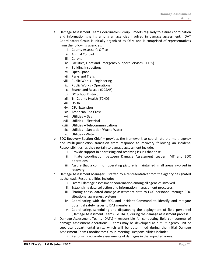- a. Damage Assessment Team Coordinators Group meets regularly to assure coordination and information sharing among all agencies involved in damage assessment. DAT Coordinators Group is initially organized by OEM and is comprised of representatives from the following agencies:
	- i. County Assessor's Office
	- ii. Animal Control
	- iii. Coroner
	- iv. Facilities, Fleet and Emergency Support Services (FFESS)
	- v. Building Inspections
	- vi. Open Space
	- vii. Parks and Trails
	- viii. Public Works Engineering
	- ix. Public Works Operations
	- x. Search and Rescue (DCSAR)
	- xi. DC School District
	- xii. Tri-County Health (TCHD)
	- xiii. USDA
	- xiv. CSU Extension
	- xv. American Red Cross
	- xvi. Utilities Gas
	- xvii. Utilities Electrical
	- xviii. Utilities Telecommunications
	- xix. Utilities Sanitation/Waste Water
	- xx. Utilities Water
- b. EOC Recovery Section Chief provides the framework to coordinate the multi-agency and multi-jurisdiction transition from response to recovery following an incident. Responsibilities (as they pertain to damage assessment include:
	- i. Provide support in addressing and resolving issues that arise.
	- ii. Initiate coordination between Damage Assessment Leader, IMT and EOC operations.
	- iii. Assure that a common operating picture is maintained in all areas involved in recovery.
- c. Damage Assessment Manager staffed by a representative from the agency designated as the lead. Responsibilities include:
	- i. Overall damage assessment coordination among all agencies involved.
	- ii. Establishing data collection and information management processes.
	- iii. Sharing consolidated damage assessment data to EOC personnel through EOC situational awareness systems.
	- iv. Coordinating with the EOC and Incident Command to identify and mitigate potential safety issues to DAT members.
	- v. Coordinating, scheduling and dispatching the deployment of field personnel (Damage Assessment Teams, i.e. DATs) during the damage assessment process.
- d. Damage Assessment Teams (DATs) responsible for conducting field components of damage assessment operations. Teams may be developed as a multi-agency unit or separate departmental units, which will be determined during the initial Damage Assessment Team Coordinators Group meeting. Responsibilities include:
	- i. Performing accurate assessments of damages in the impacted areas.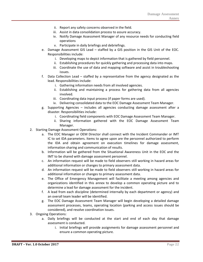- ii. Report any safety concerns observed in the field.
- iii. Assist in data consolidation process to assure accuracy.
- iv. Notify Damage Assessment Manager of any resource needs for conducting field operations
- v. Participate in daily briefings and debriefings.
- e. Damage Assessment GIS Lead staffed by a GIS position in the GIS Unit of the EOC. Responsibilities include:
	- i. Developing maps to depict information that is gathered by field personnel.
	- ii. Establishing procedures for quickly gathering and processing data into maps.
	- iii. Coordinate the use of data and mapping software and assist in troubleshooting issues.
- f. Data Collection Lead staffed by a representative from the agency designated as the lead. Responsibilities include:
	- i. Gathering information needs from all involved agencies.
	- ii. Establishing and maintaining a process for gathering data from all agencies involved.
	- iii. Coordinating data input process (if paper forms are used).
	- iv. Delivering consolidated data to the EOC Damage Assessment Team Manager.
- g. Supporting Agencies includes all agencies conducting damage assessment after a disaster. Responsibilities include:
	- i. Coordinating field components with EOC Damage Assessment Team Manager.
	- ii. Sharing information gathered with the EOC Damage Assessment Team Manager.
- 2. Starting Damage Assessment Operations:
	- a. The EOC Manager or OEM Director shall connect with the Incident Commander or IMT IC to set IDA parameters. Items to agree upon are the personnel authorized to perform the IDA and obtain agreement on execution timelines for damage assessment, information sharing and communication of results.
	- b. Information will be gathered from the Situational Awareness Unit in the EOC and the IMT to be shared with damage assessment personnel.
	- c. An information request will be made to field observers still working in hazard areas for additional information or changes to primary assessment data.
	- d. An information request will be made to field observers still working in hazard areas for additional information or changes to primary assessment data.
	- e. The Office of Emergency Management will facilitate a meeting among agencies and organizations identified in this annex to develop a common operating picture and to determine a lead for damage assessment for the incident.
	- f. A lead from each discipline (determined internally by each department or agency) and an overall team leader will be identified.
	- g. The EOC Damage Assessment Team Manager will begin developing a detailed damage assessment processes, teams, operating location (parking and access issues should be considered), and resolve coordination issues.
- 3. Ongoing Operations:
	- a. Daily briefings will be conducted at the start and end of each day that damage assessment is conducted.
		- i. Initial briefings will provide assignments for damage assessment personnel and ensure a common operating picture.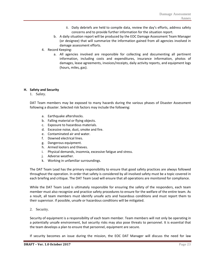- ii. Daily debriefs are held to compile data, review the day's efforts, address safety concerns and to provide further information for the situation report.
- b. A daily situation report will be produced by the EOC Damage Assessment Team Manager (or designee) that will summarize the information gained from all agencies involved in damage assessment efforts.
- 4. Record Keeping:
	- a. All agencies involved are responsible for collecting and documenting all pertinent information, including costs and expenditures, insurance information, photos of damages, lease agreements, invoices/receipts, daily activity reports, and equipment logs (hours, miles, gas).

#### <span id="page-24-0"></span>**H. Safety and Security**

1. Safety.

DAT Team members may be exposed to many hazards during the various phases of Disaster Assessment following a disaster. Selected risk factors may include the following:

- a. Earthquake aftershocks.
- b. Falling material or flying objects.
- c. Exposure to hazardous materials.
- d. Excessive noise, dust, smoke and fire.
- e. Contaminated air and water.
- f. Downed electrical lines.
- g. Dangerous equipment.
- h. Armed looters and thieves.
- i. Physical demands, insomnia, excessive fatigue and stress.
- j. Adverse weather.
- k. Working in unfamiliar surroundings.

The DAT Team Lead has the primary responsibility to ensure that good safety practices are always followed throughout the operation. In order that safety is considered by all involved safety must be a topic covered in each briefing and critique. The DAT Team Lead will ensure that all operations are monitored for compliance.

While the DAT Team Lead is ultimately responsible for ensuring the safety of the responders, each team member must also recognize and practice safety procedures to ensure for the welfare of the entire team. As a result, all team members must identify unsafe acts and hazardous conditions and must report them to their supervisor. If possible, unsafe or hazardous conditions will be mitigated.

2. Security.

Security of equipment is a responsibility of each team member. Team members will not only be operating in a potentially unsafe environment, but security risks may also pose threats to personnel. It is essential that the team develops a plan to ensure that personnel, equipment are secure.

If security becomes an issue during the mission, the EOC DAT Manager will discuss the need for law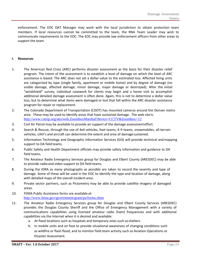enforcement. The EOC DAT Manager may work with the local jurisdiction to obtain protection team members. If local resources cannot be committed to the team, the RNA Team Leader may wish to communicate requirements to the EOC. The EOC may provide law enforcement officers from other areas to support the team.

#### <span id="page-25-0"></span>**I. Resources**

- 1. The American Red Cross (ARC) performs disaster assessment as the basis for their disaster relief program. The intent of the assessment is to establish a level of damage on which the level of ARC assistance is based. The ARC does not set a dollar value to the estimated loss. Affected living units are categorized by type (single family, apartment or mobile home) and by degree of damage (no visible damage, affected damage, minor damage, major damage or destroyed). After the initial "windshield" survey, individual casework for clients may begin and a home visit to accomplish additional detailed damage assessment is often done. Again, this is not to determine a dollar value loss, but to determine what items were damaged or lost that fall within the ARC disaster assistance program for repair or replacement.
- 2. The Colorado Department of Transportation (CDOT) has mounted cameras around the Denver metro area. These may be used to identify areas that have sustained damage. The web siteis: <http://www.cotrip.org/atis/web.ZoomboxMarshal?device=CCTV&Zoombox=12>
- 3. Civil Air Patrol may be available to provide air support of the damage assessmenteffort.
- 4. Search & Rescue, through the use of 4x4 vehicles, foot teams, K-9 teams, snowmobiles, all-terrain vehicles, UAV's and aircraft can determine the extent and area of damage sustained.
- 5. Information Technology and Geographic Information Services (GIS) will provide technical andmapping support to DA field teams.
- 6. Public Safety and Health Department officials may provide safety information and guidance to DA field teams.
- 7. The Amateur Radio Emergency Services group for Douglas and Elbert County (ARESDEC) may be able to provide radioand video support to DA field teams.
- 8. During the IDRA as many photographs as possible are taken to record the severity and type of damage. Some of these will be used in the EOC to identify the type and location of damage, along with detailed maps of the overall incident area.
- 9. Private sector partners, such as Pictometry may be able to provide satellite imagery of damaged areas.
- 10. FEMA Public Assistance forms are available at: <http://www.fema.gov/government/grant/pa/forms.shtm>
- 11. The Amateur Radio Emergency Services group for Douglas and Elbert County Services (ARESDEC) provides the Douglas County Sheriff and the Office of Emergency Management with a variety of communications capabilities using licensed amateur radio (ham) frequencies and with additional capabilities via the Internet when it is desired and available:
	- a. At fixed locations such as hospitals and temporary ones such asshelters
	- b. In mobile units and on foot to provide situational awareness of changing conditions such as wildfire or flash flood, and to monitor field team activity such as Aviation Operations or Disaster Assessment.